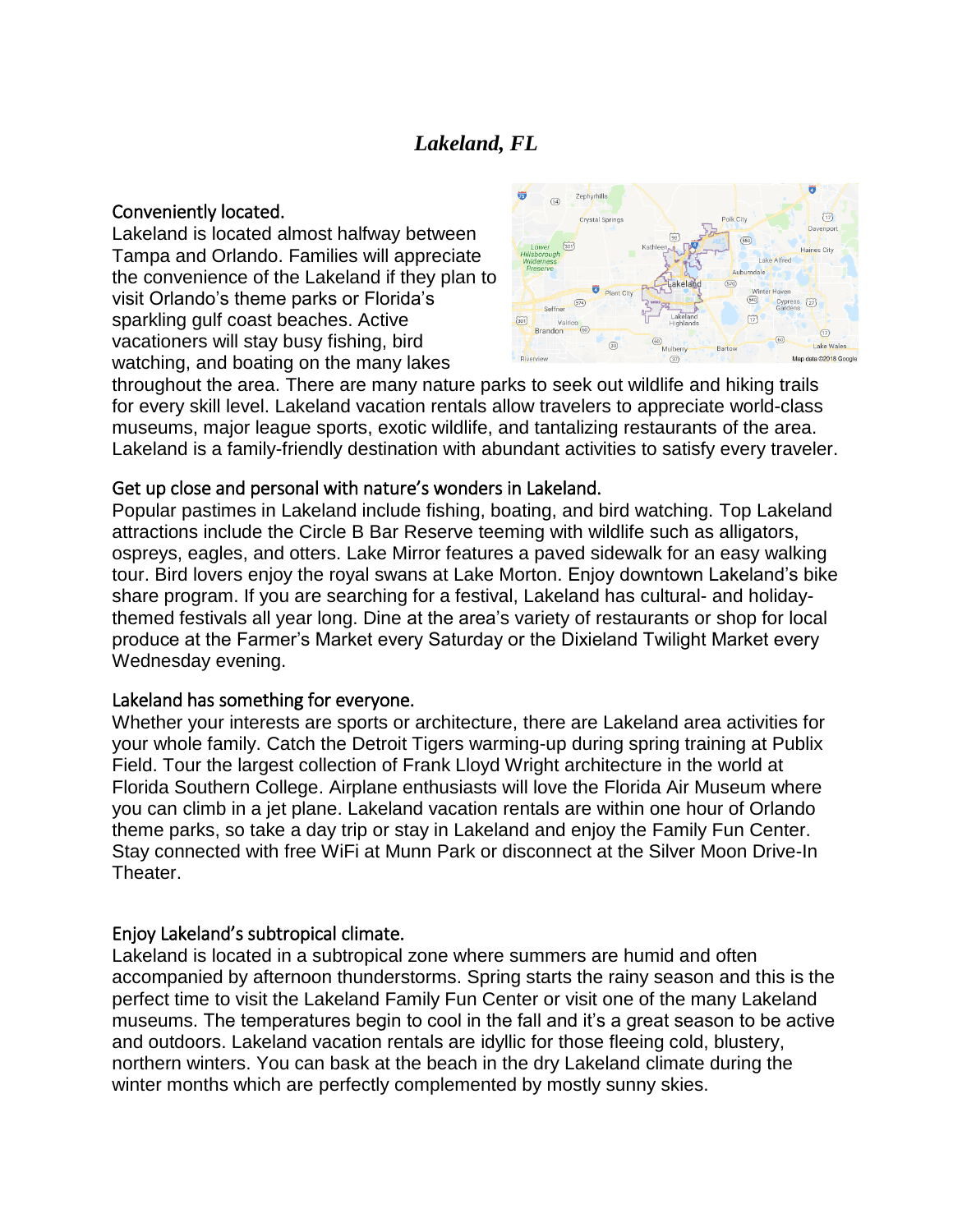# *Lakeland, FL*

#### Conveniently located.

Lakeland is located almost halfway between Tampa and Orlando. Families will appreciate the convenience of the Lakeland if they plan to visit Orlando's theme parks or Florida's sparkling gulf coast beaches. Active vacationers will stay busy fishing, bird watching, and boating on the many lakes



throughout the area. There are many nature parks to seek out wildlife and hiking trails for every skill level. Lakeland vacation rentals allow travelers to appreciate world-class museums, major league sports, exotic wildlife, and tantalizing restaurants of the area. Lakeland is a family-friendly destination with abundant activities to satisfy every traveler.

## Get up close and personal with nature's wonders in Lakeland.

Popular pastimes in Lakeland include fishing, boating, and bird watching. Top Lakeland attractions include the Circle B Bar Reserve teeming with wildlife such as alligators, ospreys, eagles, and otters. Lake Mirror features a paved sidewalk for an easy walking tour. Bird lovers enjoy the royal swans at Lake Morton. Enjoy downtown Lakeland's bike share program. If you are searching for a festival, Lakeland has cultural- and holidaythemed festivals all year long. Dine at the area's variety of restaurants or shop for local produce at the Farmer's Market every Saturday or the Dixieland Twilight Market every Wednesday evening.

## Lakeland has something for everyone.

Whether your interests are sports or architecture, there are Lakeland area activities for your whole family. Catch the Detroit Tigers warming-up during spring training at Publix Field. Tour the largest collection of Frank Lloyd Wright architecture in the world at Florida Southern College. Airplane enthusiasts will love the Florida Air Museum where you can climb in a jet plane. Lakeland vacation rentals are within one hour of Orlando theme parks, so take a day trip or stay in Lakeland and enjoy the Family Fun Center. Stay connected with free WiFi at Munn Park or disconnect at the Silver Moon Drive-In Theater.

# Enjoy Lakeland's subtropical climate.

Lakeland is located in a subtropical zone where summers are humid and often accompanied by afternoon thunderstorms. Spring starts the rainy season and this is the perfect time to visit the Lakeland Family Fun Center or visit one of the many Lakeland museums. The temperatures begin to cool in the fall and it's a great season to be active and outdoors. Lakeland vacation rentals are idyllic for those fleeing cold, blustery, northern winters. You can bask at the beach in the dry Lakeland climate during the winter months which are perfectly complemented by mostly sunny skies.